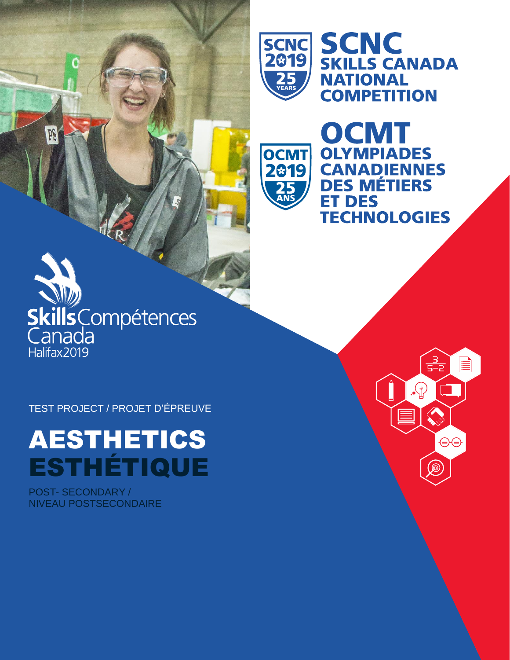

**OCMT** 

2819

SCNC SCNC<br>2019 SKILLS CANADA **NATIONAL COMPETITION** 

**OCMT** 

**OLYMPIADES** 

**DES MÉTIERS** 

**ET DES** 

**CANADIENNES** 

**TECHNOLOGIES** 

 $\frac{3}{5-2}$ 

a ka

⊜⊜

<u>ිල</u>

 $\Omega$ 

È

# $\sum_{i=1}^{N}$ SkillsCompétences Halifax2019

PF

TEST PROJECT / PROJET D'ÉPREUVE

# AESTHETICS ESTHÉTIQUE

POST- SECONDARY / NIVEAU POSTSECONDAIRE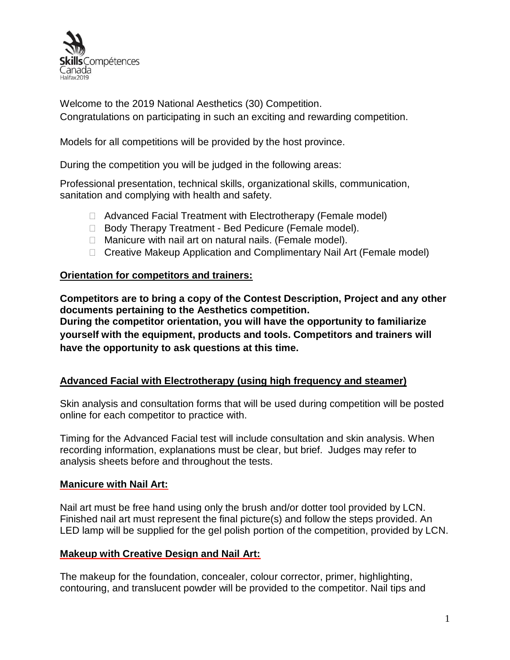

Welcome to the 2019 National Aesthetics (30) Competition. Congratulations on participating in such an exciting and rewarding competition.

Models for all competitions will be provided by the host province.

During the competition you will be judged in the following areas:

Professional presentation, technical skills, organizational skills, communication, sanitation and complying with health and safety.

- □ Advanced Facial Treatment with Electrotherapy (Female model)
- □ Body Therapy Treatment Bed Pedicure (Female model).
- □ Manicure with nail art on natural nails. (Female model).
- □ Creative Makeup Application and Complimentary Nail Art (Female model)

# **Orientation for competitors and trainers:**

**Competitors are to bring a copy of the Contest Description, Project and any other documents pertaining to the Aesthetics competition.**

**During the competitor orientation, you will have the opportunity to familiarize yourself with the equipment, products and tools. Competitors and trainers will have the opportunity to ask questions at this time.**

# **Advanced Facial with Electrotherapy (using high frequency and steamer)**

Skin analysis and consultation forms that will be used during competition will be posted online for each competitor to practice with.

Timing for the Advanced Facial test will include consultation and skin analysis. When recording information, explanations must be clear, but brief. Judges may refer to analysis sheets before and throughout the tests.

#### **Manicure with Nail Art:**

Nail art must be free hand using only the brush and/or dotter tool provided by LCN. Finished nail art must represent the final picture(s) and follow the steps provided. An LED lamp will be supplied for the gel polish portion of the competition, provided by LCN.

#### **Makeup with Creative Design and Nail Art:**

The makeup for the foundation, concealer, colour corrector, primer, highlighting, contouring, and translucent powder will be provided to the competitor. Nail tips and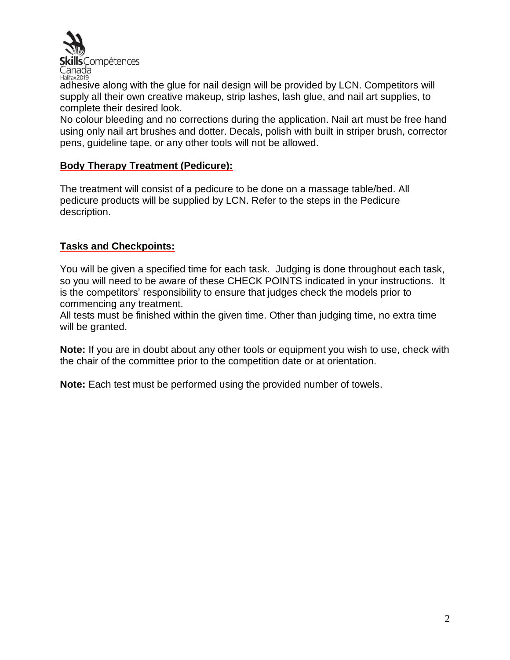

adhesive along with the glue for nail design will be provided by LCN. Competitors will supply all their own creative makeup, strip lashes, lash glue, and nail art supplies, to complete their desired look.

No colour bleeding and no corrections during the application. Nail art must be free hand using only nail art brushes and dotter. Decals, polish with built in striper brush, corrector pens, guideline tape, or any other tools will not be allowed.

# **Body Therapy Treatment (Pedicure):**

The treatment will consist of a pedicure to be done on a massage table/bed. All pedicure products will be supplied by LCN. Refer to the steps in the Pedicure description.

# **Tasks and Checkpoints:**

You will be given a specified time for each task. Judging is done throughout each task, so you will need to be aware of these CHECK POINTS indicated in your instructions. It is the competitors' responsibility to ensure that judges check the models prior to commencing any treatment.

All tests must be finished within the given time. Other than judging time, no extra time will be granted.

**Note:** If you are in doubt about any other tools or equipment you wish to use, check with the chair of the committee prior to the competition date or at orientation.

**Note:** Each test must be performed using the provided number of towels.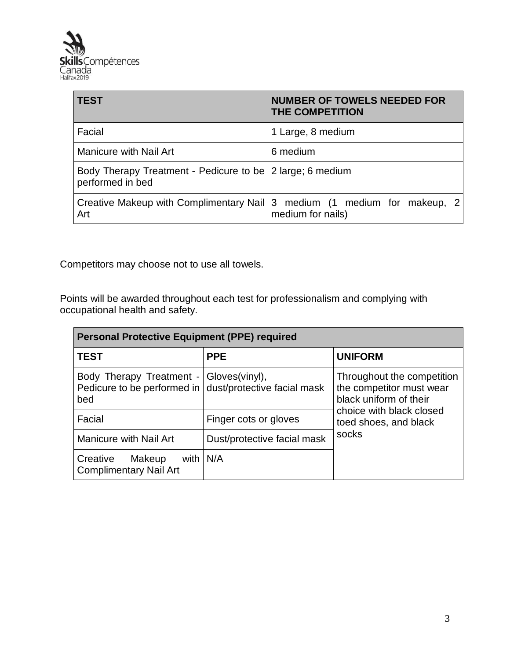

| <b>TEST</b>                                                                   | <b>NUMBER OF TOWELS NEEDED FOR</b><br><b>THE COMPETITION</b>                                  |
|-------------------------------------------------------------------------------|-----------------------------------------------------------------------------------------------|
| Facial                                                                        | 1 Large, 8 medium                                                                             |
| <b>Manicure with Nail Art</b>                                                 | 6 medium                                                                                      |
| Body Therapy Treatment - Pedicure to be 2 large; 6 medium<br>performed in bed |                                                                                               |
| Art                                                                           | Creative Makeup with Complimentary Nail 3 medium (1 medium for makeup, 2<br>medium for nails) |

Competitors may choose not to use all towels.

Points will be awarded throughout each test for professionalism and complying with occupational health and safety.

| <b>Personal Protective Equipment (PPE) required</b>                                                       |                             |                                                                                  |  |
|-----------------------------------------------------------------------------------------------------------|-----------------------------|----------------------------------------------------------------------------------|--|
| <b>TEST</b>                                                                                               | <b>PPE</b>                  | <b>UNIFORM</b>                                                                   |  |
| Body Therapy Treatment - Gloves(vinyl),<br>Pedicure to be performed in dust/protective facial mask<br>bed |                             | Throughout the competition<br>the competitor must wear<br>black uniform of their |  |
| Facial                                                                                                    | Finger cots or gloves       | choice with black closed<br>toed shoes, and black                                |  |
| <b>Manicure with Nail Art</b>                                                                             | Dust/protective facial mask | socks                                                                            |  |
| with $\vert N/A \vert$<br>Creative<br>Makeup<br><b>Complimentary Nail Art</b>                             |                             |                                                                                  |  |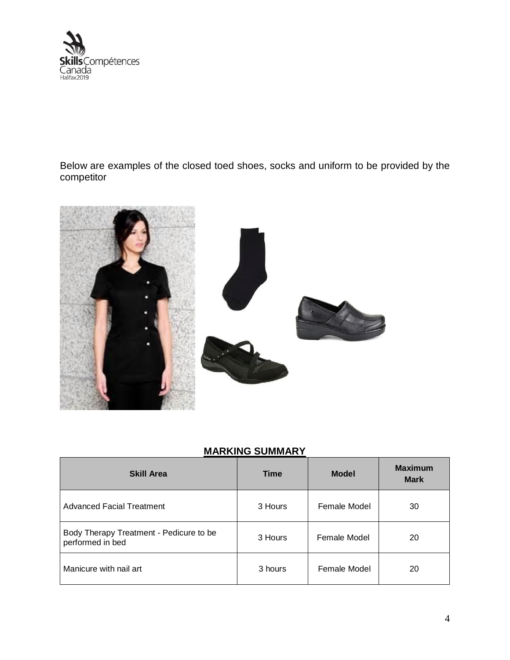

Below are examples of the closed toed shoes, socks and uniform to be provided by the competitor



# **MARKING SUMMARY**

| <b>Skill Area</b>                                           | <b>Time</b> | <b>Model</b> | <b>Maximum</b><br><b>Mark</b> |
|-------------------------------------------------------------|-------------|--------------|-------------------------------|
| Advanced Facial Treatment                                   | 3 Hours     | Female Model | 30                            |
| Body Therapy Treatment - Pedicure to be<br>performed in bed | 3 Hours     | Female Model | 20                            |
| Manicure with nail art                                      | 3 hours     | Female Model | 20                            |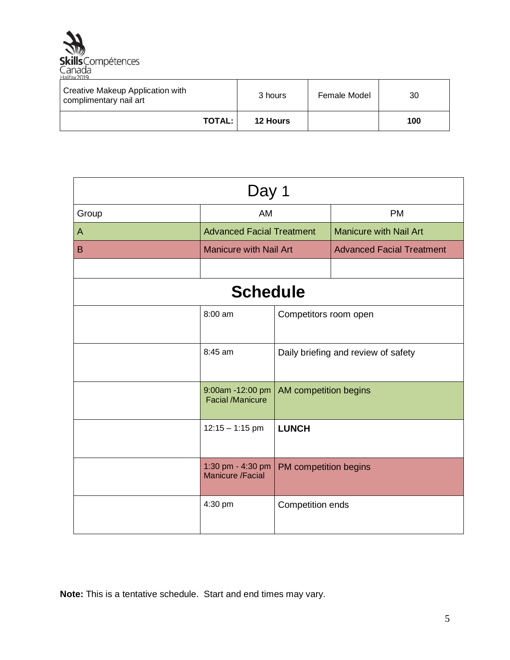

| Creative Makeup Application with<br>complimentary nail art | 3 hours         | Female Model | 30  |
|------------------------------------------------------------|-----------------|--------------|-----|
| <b>TOTAL:</b>                                              | <b>12 Hours</b> |              | 100 |

| Day 1 |                                              |                       |                                     |  |
|-------|----------------------------------------------|-----------------------|-------------------------------------|--|
| Group | AM                                           |                       | <b>PM</b>                           |  |
| A     | <b>Advanced Facial Treatment</b>             |                       | <b>Manicure with Nail Art</b>       |  |
| B     | <b>Manicure with Nail Art</b>                |                       | <b>Advanced Facial Treatment</b>    |  |
|       |                                              |                       |                                     |  |
|       | <b>Schedule</b>                              |                       |                                     |  |
|       | 8:00 am<br>Competitors room open             |                       |                                     |  |
|       | 8:45 am                                      |                       | Daily briefing and review of safety |  |
|       | 9:00am -12:00 pm<br><b>Facial /Manicure</b>  | AM competition begins |                                     |  |
|       | $12:15 - 1:15$ pm                            | <b>LUNCH</b>          |                                     |  |
|       | 1:30 pm - 4:30 pm<br><b>Manicure /Facial</b> | PM competition begins |                                     |  |
|       | 4:30 pm                                      | Competition ends      |                                     |  |

**Note:** This is a tentative schedule. Start and end times may vary.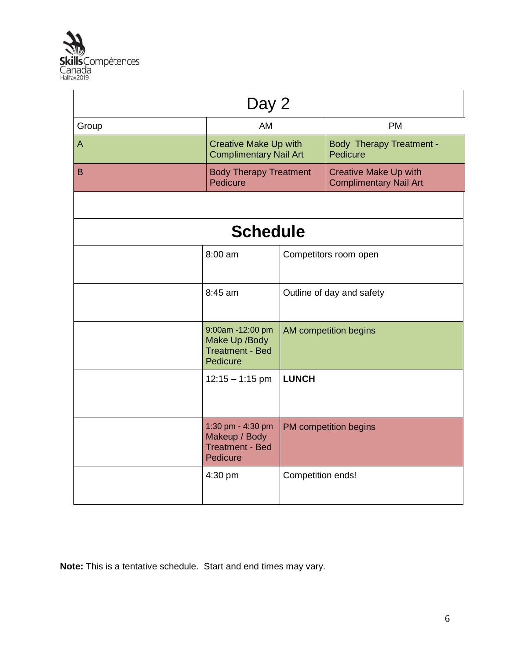

| Day 2        |                                                                          |                   |                                                               |
|--------------|--------------------------------------------------------------------------|-------------------|---------------------------------------------------------------|
| Group        | AM                                                                       |                   | <b>PM</b>                                                     |
| A            | <b>Creative Make Up with</b><br><b>Complimentary Nail Art</b>            |                   | <b>Body Therapy Treatment -</b><br>Pedicure                   |
| <sub>B</sub> | <b>Body Therapy Treatment</b><br>Pedicure                                |                   | <b>Creative Make Up with</b><br><b>Complimentary Nail Art</b> |
|              |                                                                          |                   |                                                               |
|              | <b>Schedule</b>                                                          |                   |                                                               |
|              | 8:00 am                                                                  |                   | Competitors room open                                         |
|              | 8:45 am                                                                  |                   | Outline of day and safety                                     |
|              | 9:00am -12:00 pm<br>Make Up /Body<br><b>Treatment - Bed</b><br>Pedicure  |                   | AM competition begins                                         |
|              | $12:15 - 1:15$ pm                                                        | <b>LUNCH</b>      |                                                               |
|              | 1:30 pm - 4:30 pm<br>Makeup / Body<br><b>Treatment - Bed</b><br>Pedicure |                   | PM competition begins                                         |
|              | 4:30 pm                                                                  | Competition ends! |                                                               |

**Note:** This is a tentative schedule. Start and end times may vary.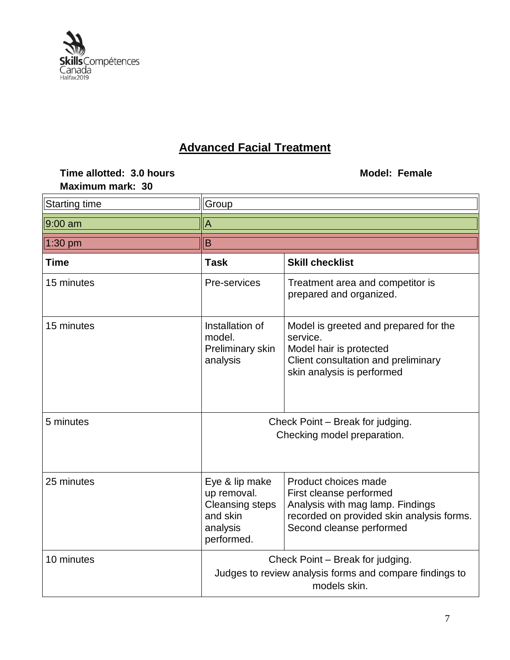

# **Advanced Facial Treatment**

| Time allotted: 3.0 hours<br>Maximum mark: 30 |                                                                                                             | <b>Model: Female</b>                                                                                                                                         |  |  |
|----------------------------------------------|-------------------------------------------------------------------------------------------------------------|--------------------------------------------------------------------------------------------------------------------------------------------------------------|--|--|
| <b>Starting time</b>                         | Group                                                                                                       |                                                                                                                                                              |  |  |
| 9:00 am                                      | A                                                                                                           |                                                                                                                                                              |  |  |
| 1:30 pm                                      | $\overline{B}$                                                                                              |                                                                                                                                                              |  |  |
| <b>Time</b>                                  | <b>Task</b>                                                                                                 | <b>Skill checklist</b>                                                                                                                                       |  |  |
| 15 minutes                                   | Pre-services                                                                                                | Treatment area and competitor is<br>prepared and organized.                                                                                                  |  |  |
| 15 minutes                                   | Installation of<br>model.<br>Preliminary skin<br>analysis                                                   | Model is greeted and prepared for the<br>service.<br>Model hair is protected<br>Client consultation and preliminary<br>skin analysis is performed            |  |  |
| 5 minutes                                    | Check Point - Break for judging.<br>Checking model preparation.                                             |                                                                                                                                                              |  |  |
| 25 minutes                                   | Eye & lip make<br>up removal.<br><b>Cleansing steps</b><br>and skin<br>analysis<br>performed.               | Product choices made<br>First cleanse performed<br>Analysis with mag lamp. Findings<br>recorded on provided skin analysis forms.<br>Second cleanse performed |  |  |
| 10 minutes                                   | Check Point – Break for judging.<br>Judges to review analysis forms and compare findings to<br>models skin. |                                                                                                                                                              |  |  |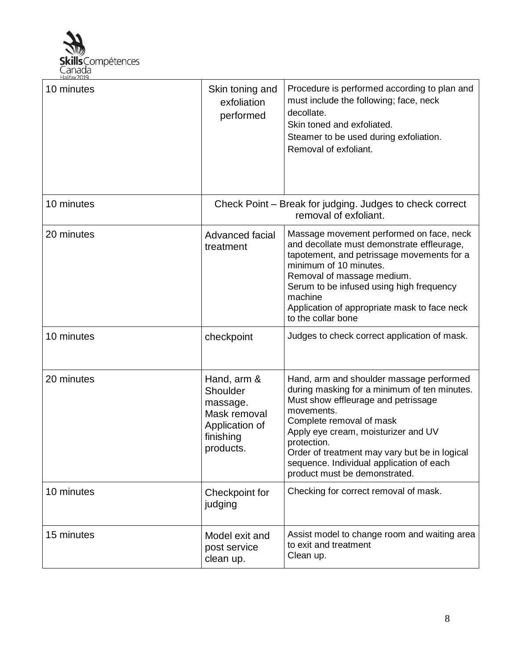

| 10 minutes | Skin toning and<br>exfoliation<br>performed                                                     | Procedure is performed according to plan and<br>must include the following; face, neck<br>decollate.<br>Skin toned and exfoliated.<br>Steamer to be used during exfoliation.<br>Removal of exfoliant.                                                                                                                                                         |
|------------|-------------------------------------------------------------------------------------------------|---------------------------------------------------------------------------------------------------------------------------------------------------------------------------------------------------------------------------------------------------------------------------------------------------------------------------------------------------------------|
| 10 minutes |                                                                                                 | Check Point – Break for judging. Judges to check correct<br>removal of exfoliant.                                                                                                                                                                                                                                                                             |
| 20 minutes | Advanced facial<br>treatment                                                                    | Massage movement performed on face, neck<br>and decollate must demonstrate effleurage,<br>tapotement, and petrissage movements for a<br>minimum of 10 minutes.<br>Removal of massage medium.<br>Serum to be infused using high frequency<br>machine<br>Application of appropriate mask to face neck<br>to the collar bone                                     |
| 10 minutes | checkpoint                                                                                      | Judges to check correct application of mask.                                                                                                                                                                                                                                                                                                                  |
| 20 minutes | Hand, arm &<br>Shoulder<br>massage.<br>Mask removal<br>Application of<br>finishing<br>products. | Hand, arm and shoulder massage performed<br>during masking for a minimum of ten minutes.<br>Must show effleurage and petrissage<br>movements.<br>Complete removal of mask<br>Apply eye cream, moisturizer and UV<br>protection.<br>Order of treatment may vary but be in logical<br>sequence. Individual application of each<br>product must be demonstrated. |
| 10 minutes | Checkpoint for<br>judging                                                                       | Checking for correct removal of mask.                                                                                                                                                                                                                                                                                                                         |
| 15 minutes | Model exit and<br>post service<br>clean up.                                                     | Assist model to change room and waiting area<br>to exit and treatment<br>Clean up.                                                                                                                                                                                                                                                                            |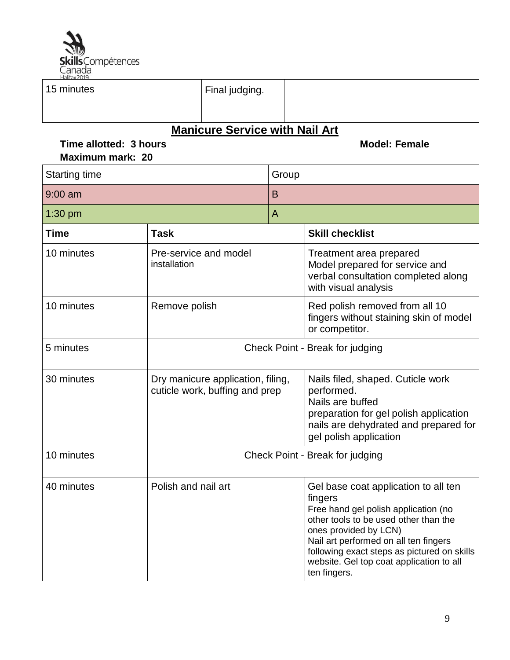

Π

| 15 minutes                                 | Final judging.                                                      |                |       |                                                                                                                                                                                                                                                                                                               |
|--------------------------------------------|---------------------------------------------------------------------|----------------|-------|---------------------------------------------------------------------------------------------------------------------------------------------------------------------------------------------------------------------------------------------------------------------------------------------------------------|
| Time allotted: 3 hours<br>Maximum mark: 20 | <b>Manicure Service with Nail Art</b>                               |                |       | <b>Model: Female</b>                                                                                                                                                                                                                                                                                          |
| <b>Starting time</b>                       |                                                                     |                | Group |                                                                                                                                                                                                                                                                                                               |
| $9:00$ am                                  |                                                                     | B              |       |                                                                                                                                                                                                                                                                                                               |
| $1:30$ pm                                  |                                                                     | $\overline{A}$ |       |                                                                                                                                                                                                                                                                                                               |
| <b>Time</b>                                | Task                                                                |                |       | <b>Skill checklist</b>                                                                                                                                                                                                                                                                                        |
| 10 minutes                                 | Pre-service and model<br>installation                               |                |       | Treatment area prepared<br>Model prepared for service and<br>verbal consultation completed along<br>with visual analysis                                                                                                                                                                                      |
| 10 minutes                                 | Remove polish                                                       |                |       | Red polish removed from all 10<br>fingers without staining skin of model<br>or competitor.                                                                                                                                                                                                                    |
| 5 minutes                                  |                                                                     |                |       | Check Point - Break for judging                                                                                                                                                                                                                                                                               |
| 30 minutes                                 | Dry manicure application, filing,<br>cuticle work, buffing and prep |                |       | Nails filed, shaped. Cuticle work<br>performed.<br>Nails are buffed<br>preparation for gel polish application<br>nails are dehydrated and prepared for<br>gel polish application                                                                                                                              |
| 10 minutes                                 | Check Point - Break for judging                                     |                |       |                                                                                                                                                                                                                                                                                                               |
| 40 minutes                                 | Polish and nail art                                                 |                |       | Gel base coat application to all ten<br>fingers<br>Free hand gel polish application (no<br>other tools to be used other than the<br>ones provided by LCN)<br>Nail art performed on all ten fingers<br>following exact steps as pictured on skills<br>website. Gel top coat application to all<br>ten fingers. |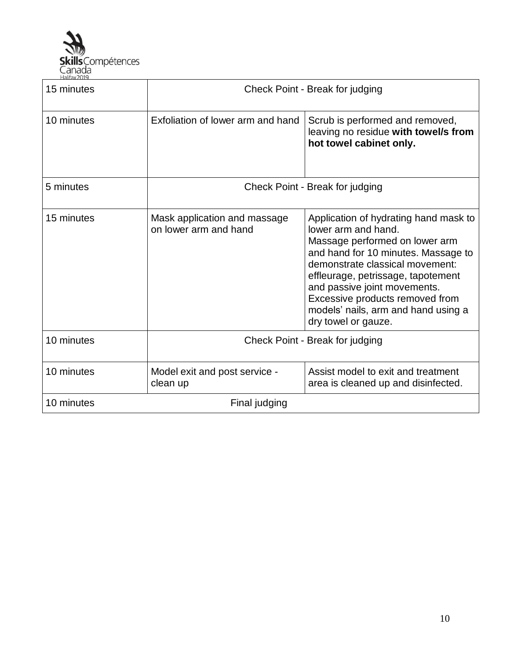

| 15 minutes                  | Check Point - Break for judging                       |                                                                                                                                                                                                                                                                                                                                                 |
|-----------------------------|-------------------------------------------------------|-------------------------------------------------------------------------------------------------------------------------------------------------------------------------------------------------------------------------------------------------------------------------------------------------------------------------------------------------|
| 10 minutes                  | Exfoliation of lower arm and hand                     | Scrub is performed and removed,<br>leaving no residue with towel/s from<br>hot towel cabinet only.                                                                                                                                                                                                                                              |
| 5 minutes                   | Check Point - Break for judging                       |                                                                                                                                                                                                                                                                                                                                                 |
| 15 minutes                  | Mask application and massage<br>on lower arm and hand | Application of hydrating hand mask to<br>lower arm and hand.<br>Massage performed on lower arm<br>and hand for 10 minutes. Massage to<br>demonstrate classical movement:<br>effleurage, petrissage, tapotement<br>and passive joint movements.<br>Excessive products removed from<br>models' nails, arm and hand using a<br>dry towel or gauze. |
| 10 minutes                  | Check Point - Break for judging                       |                                                                                                                                                                                                                                                                                                                                                 |
| 10 minutes                  | Model exit and post service -<br>clean up             | Assist model to exit and treatment<br>area is cleaned up and disinfected.                                                                                                                                                                                                                                                                       |
| 10 minutes<br>Final judging |                                                       |                                                                                                                                                                                                                                                                                                                                                 |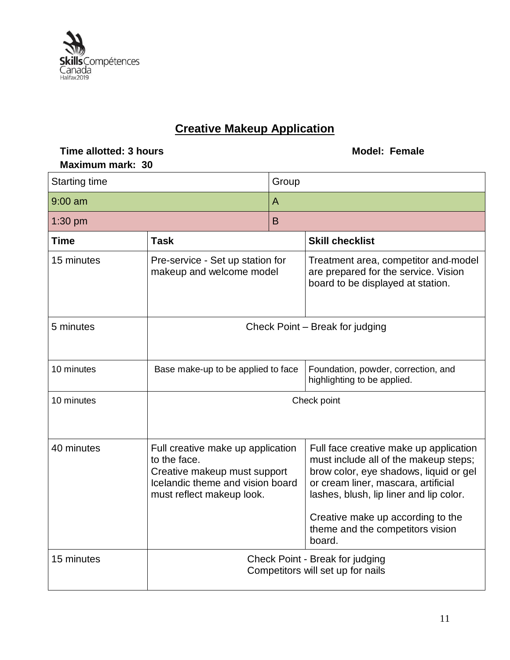

# **Creative Makeup Application**

# **Time allotted:** 3 hours **Model: Female Maximum mark: 30**

| <b>Starting time</b> |                                                                                                                                                    | Group |                                                                                                                                                                                                                                                                                                |
|----------------------|----------------------------------------------------------------------------------------------------------------------------------------------------|-------|------------------------------------------------------------------------------------------------------------------------------------------------------------------------------------------------------------------------------------------------------------------------------------------------|
| $9:00$ am            |                                                                                                                                                    | A     |                                                                                                                                                                                                                                                                                                |
| $1:30$ pm            |                                                                                                                                                    | B     |                                                                                                                                                                                                                                                                                                |
| <b>Time</b>          | <b>Task</b>                                                                                                                                        |       | <b>Skill checklist</b>                                                                                                                                                                                                                                                                         |
| 15 minutes           | Pre-service - Set up station for<br>makeup and welcome model                                                                                       |       | Treatment area, competitor and-model<br>are prepared for the service. Vision<br>board to be displayed at station.                                                                                                                                                                              |
| 5 minutes            |                                                                                                                                                    |       | Check Point - Break for judging                                                                                                                                                                                                                                                                |
| 10 minutes           | Base make-up to be applied to face                                                                                                                 |       | Foundation, powder, correction, and<br>highlighting to be applied.                                                                                                                                                                                                                             |
| 10 minutes           | Check point                                                                                                                                        |       |                                                                                                                                                                                                                                                                                                |
| 40 minutes           | Full creative make up application<br>to the face.<br>Creative makeup must support<br>Icelandic theme and vision board<br>must reflect makeup look. |       | Full face creative make up application<br>must include all of the makeup steps;<br>brow color, eye shadows, liquid or gel<br>or cream liner, mascara, artificial<br>lashes, blush, lip liner and lip color.<br>Creative make up according to the<br>theme and the competitors vision<br>board. |
| 15 minutes           | Check Point - Break for judging<br>Competitors will set up for nails                                                                               |       |                                                                                                                                                                                                                                                                                                |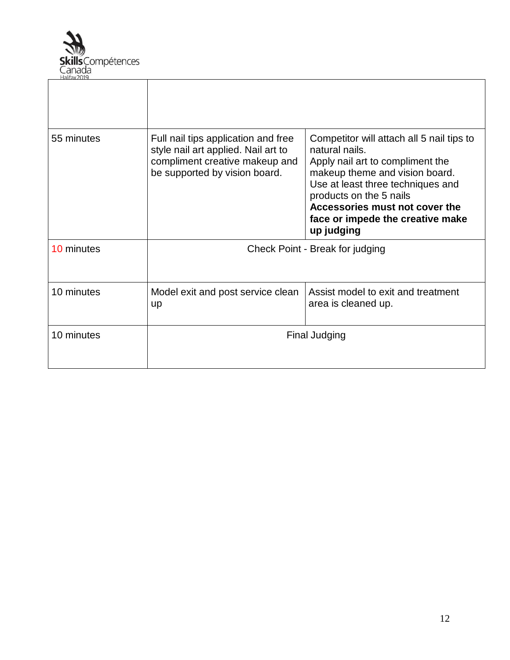

| 55 minutes | Full nail tips application and free<br>style nail art applied. Nail art to<br>compliment creative makeup and<br>be supported by vision board. | Competitor will attach all 5 nail tips to<br>natural nails.<br>Apply nail art to compliment the<br>makeup theme and vision board.<br>Use at least three techniques and<br>products on the 5 nails<br>Accessories must not cover the<br>face or impede the creative make<br>up judging |
|------------|-----------------------------------------------------------------------------------------------------------------------------------------------|---------------------------------------------------------------------------------------------------------------------------------------------------------------------------------------------------------------------------------------------------------------------------------------|
| 10 minutes |                                                                                                                                               | Check Point - Break for judging                                                                                                                                                                                                                                                       |
| 10 minutes | Model exit and post service clean<br>up                                                                                                       | Assist model to exit and treatment<br>area is cleaned up.                                                                                                                                                                                                                             |
| 10 minutes |                                                                                                                                               | <b>Final Judging</b>                                                                                                                                                                                                                                                                  |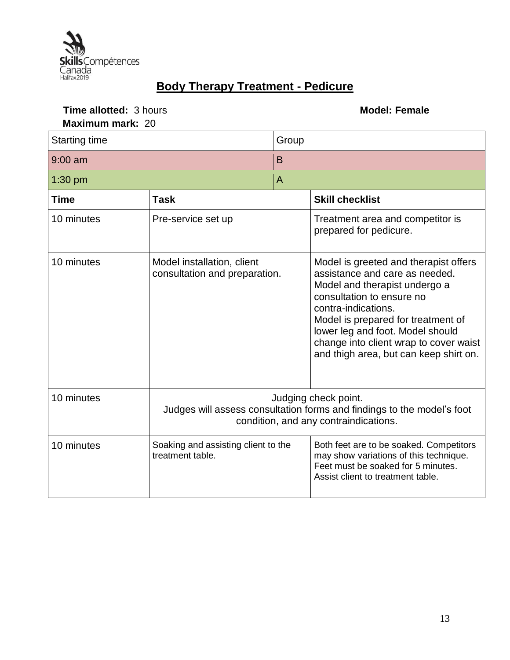

# **Body Therapy Treatment - Pedicure**

# **Time allotted:** 3 hours **Model: Female Maximum mark:** 20

| <b>Starting time</b> |                                                                                                                                         | Group          |                                                                                                                                                                                                                                                                                                                            |
|----------------------|-----------------------------------------------------------------------------------------------------------------------------------------|----------------|----------------------------------------------------------------------------------------------------------------------------------------------------------------------------------------------------------------------------------------------------------------------------------------------------------------------------|
| $9:00$ am            |                                                                                                                                         | B              |                                                                                                                                                                                                                                                                                                                            |
| $1:30$ pm            |                                                                                                                                         | $\overline{A}$ |                                                                                                                                                                                                                                                                                                                            |
| Time                 | <b>Task</b>                                                                                                                             |                | <b>Skill checklist</b>                                                                                                                                                                                                                                                                                                     |
| 10 minutes           | Pre-service set up                                                                                                                      |                | Treatment area and competitor is<br>prepared for pedicure.                                                                                                                                                                                                                                                                 |
| 10 minutes           | Model installation, client<br>consultation and preparation.                                                                             |                | Model is greeted and therapist offers<br>assistance and care as needed.<br>Model and therapist undergo a<br>consultation to ensure no<br>contra-indications.<br>Model is prepared for treatment of<br>lower leg and foot. Model should<br>change into client wrap to cover waist<br>and thigh area, but can keep shirt on. |
| 10 minutes           | Judging check point.<br>Judges will assess consultation forms and findings to the model's foot<br>condition, and any contraindications. |                |                                                                                                                                                                                                                                                                                                                            |
| 10 minutes           | Soaking and assisting client to the<br>treatment table.                                                                                 |                | Both feet are to be soaked. Competitors<br>may show variations of this technique.<br>Feet must be soaked for 5 minutes.<br>Assist client to treatment table.                                                                                                                                                               |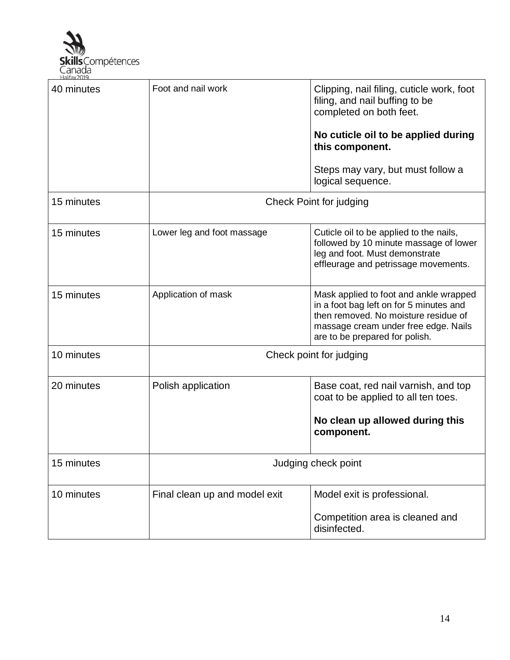

| 40 minutes | Foot and nail work            | Clipping, nail filing, cuticle work, foot<br>filing, and nail buffing to be<br>completed on both feet.<br>No cuticle oil to be applied during<br>this component.<br>Steps may vary, but must follow a |  |
|------------|-------------------------------|-------------------------------------------------------------------------------------------------------------------------------------------------------------------------------------------------------|--|
|            |                               | logical sequence.                                                                                                                                                                                     |  |
| 15 minutes | Check Point for judging       |                                                                                                                                                                                                       |  |
| 15 minutes | Lower leg and foot massage    | Cuticle oil to be applied to the nails,<br>followed by 10 minute massage of lower<br>leg and foot. Must demonstrate<br>effleurage and petrissage movements.                                           |  |
| 15 minutes | Application of mask           | Mask applied to foot and ankle wrapped<br>in a foot bag left on for 5 minutes and<br>then removed. No moisture residue of<br>massage cream under free edge. Nails<br>are to be prepared for polish.   |  |
| 10 minutes | Check point for judging       |                                                                                                                                                                                                       |  |
| 20 minutes | Polish application            | Base coat, red nail varnish, and top<br>coat to be applied to all ten toes.                                                                                                                           |  |
|            |                               | No clean up allowed during this<br>component.                                                                                                                                                         |  |
| 15 minutes | Judging check point           |                                                                                                                                                                                                       |  |
| 10 minutes | Final clean up and model exit | Model exit is professional.<br>Competition area is cleaned and<br>disinfected.                                                                                                                        |  |